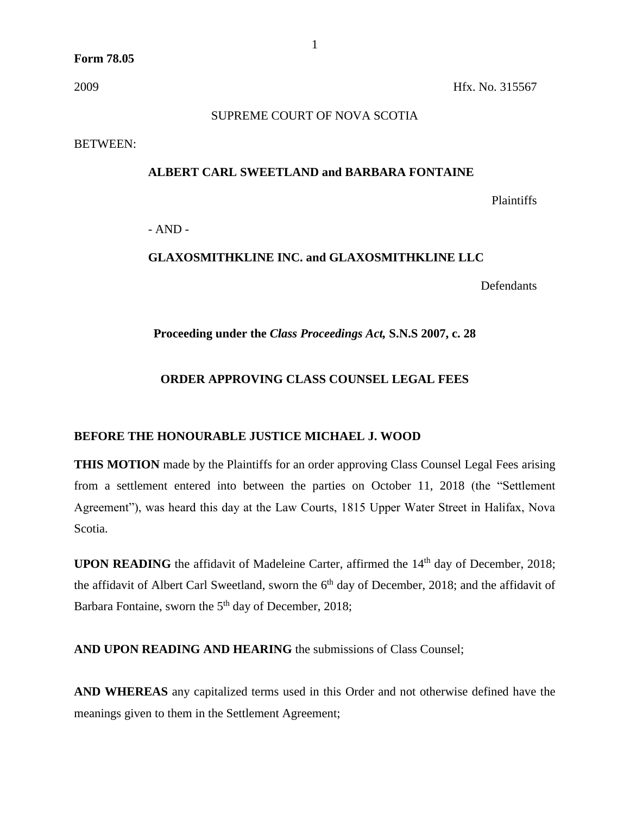### SUPREME COURT OF NOVA SCOTIA

BETWEEN:

#### **ALBERT CARL SWEETLAND and BARBARA FONTAINE**

Plaintiffs

- AND -

# **GLAXOSMITHKLINE INC. and GLAXOSMITHKLINE LLC**

**Defendants** 

### **Proceeding under the** *Class Proceedings Act,* **S.N.S 2007, c. 28**

## **ORDER APPROVING CLASS COUNSEL LEGAL FEES**

### **BEFORE THE HONOURABLE JUSTICE MICHAEL J. WOOD**

**THIS MOTION** made by the Plaintiffs for an order approving Class Counsel Legal Fees arising from a settlement entered into between the parties on October 11, 2018 (the "Settlement Agreement"), was heard this day at the Law Courts, 1815 Upper Water Street in Halifax, Nova Scotia.

**UPON READING** the affidavit of Madeleine Carter, affirmed the 14<sup>th</sup> day of December, 2018; the affidavit of Albert Carl Sweetland, sworn the  $6<sup>th</sup>$  day of December, 2018; and the affidavit of Barbara Fontaine, sworn the 5<sup>th</sup> day of December, 2018;

**AND UPON READING AND HEARING** the submissions of Class Counsel;

**AND WHEREAS** any capitalized terms used in this Order and not otherwise defined have the meanings given to them in the Settlement Agreement;